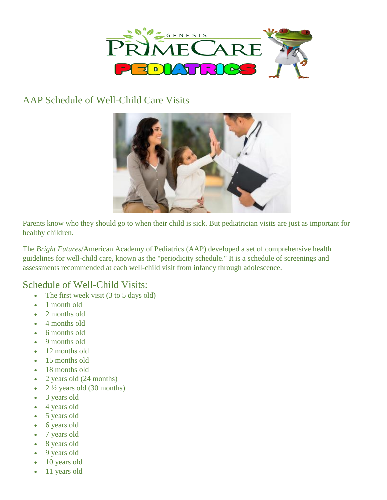

## AAP Schedule of Well-Child Care Visits



Parents know who they should go to when their child is sick. But pediatrician visits are just as important for healthy children.

The *[Bright Futures](http://brightfutures.aap.org/)*/American Academy of Pediatrics (AAP) developed a set of comprehensive health guidelines for well-child care, known as the ["periodicity](https://www.aap.org/en-us/professional-resources/practice-transformation/managing-patients/Pages/Periodicity-Schedule.aspx) schedule." It is a schedule of screenings and assessments recommended at each well-child visit from infancy through adolescence.

## Schedule of Well-Child Visits:

- The first week visit  $(3 \text{ to } 5 \text{ days old})$
- 1 month old
- 2 months old
- 4 months old
- 6 months old
- 9 months old
- 12 months old
- 15 months old
- 18 months old
- 2 years old (24 months)
- $2\frac{1}{2}$  years old (30 months)
- 3 years old
- 4 years old
- 5 years old
- 6 years old
- 7 years old
- 8 years old
- 9 years old
- 10 years old
- 11 years old